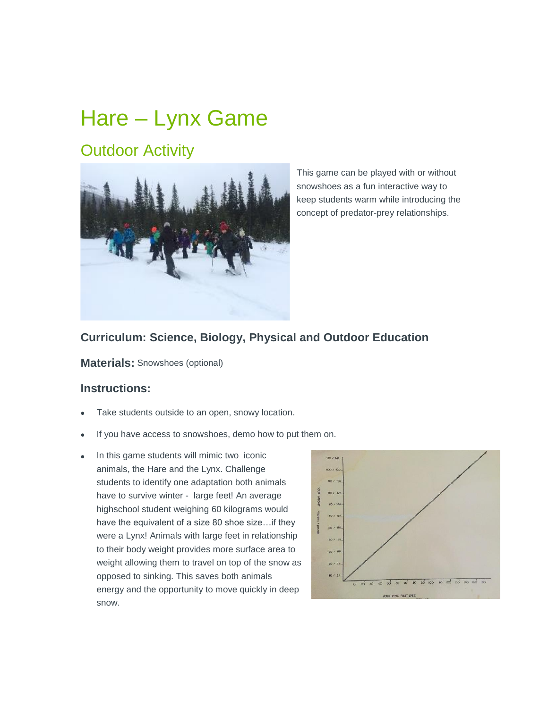# Hare – Lynx Game

# **Outdoor Activity**



This game can be played with or without snowshoes as a fun interactive way to keep students warm while introducing the concept of predator-prey relationships.

## **Curriculum: Science, Biology, Physical and Outdoor Education**

**Materials:** Snowshoes (optional)

#### **Instructions:**

- Take students outside to an open, snowy location.
- If you have access to snowshoes, demo how to put them on.
- In this game students will mimic two iconic animals, the Hare and the Lynx. Challenge students to identify one adaptation both animals have to survive winter - large feet! An average highschool student weighing 60 kilograms would have the equivalent of a size 80 shoe size…if they were a Lynx! Animals with large feet in relationship to their body weight provides more surface area to weight allowing them to travel on top of the snow as opposed to sinking. This saves both animals energy and the opportunity to move quickly in deep snow.